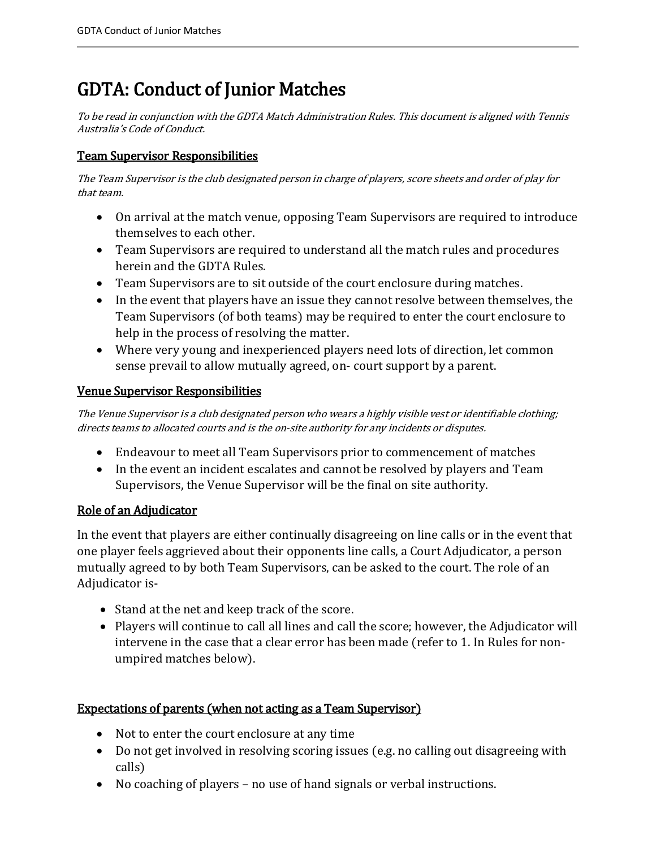# GDTA: Conduct of Junior Matches

To be read in conjunction with the GDTA Match Administration Rules. This document is aligned with Tennis Australia's Code of Conduct.

## Team Supervisor Responsibilities

The Team Supervisor is the club designated person in charge of players, score sheets and order of play for that team.

- On arrival at the match venue, opposing Team Supervisors are required to introduce themselves to each other.
- Team Supervisors are required to understand all the match rules and procedures herein and the GDTA Rules.
- Team Supervisors are to sit outside of the court enclosure during matches.
- In the event that players have an issue they cannot resolve between themselves, the Team Supervisors (of both teams) may be required to enter the court enclosure to help in the process of resolving the matter.
- Where very young and inexperienced players need lots of direction, let common sense prevail to allow mutually agreed, on- court support by a parent.

## Venue Supervisor Responsibilities

The Venue Supervisor is a club designated person who wears a highly visible vest or identifiable clothing; directs teams to allocated courts and is the on-site authority for any incidents or disputes.

- Endeavour to meet all Team Supervisors prior to commencement of matches
- In the event an incident escalates and cannot be resolved by players and Team Supervisors, the Venue Supervisor will be the final on site authority.

## Role of an Adjudicator

In the event that players are either continually disagreeing on line calls or in the event that one player feels aggrieved about their opponents line calls, a Court Adjudicator, a person mutually agreed to by both Team Supervisors, can be asked to the court. The role of an Adjudicator is-

- Stand at the net and keep track of the score.
- Players will continue to call all lines and call the score; however, the Adjudicator will intervene in the case that a clear error has been made (refer to 1. In Rules for nonumpired matches below).

# Expectations of parents (when not acting as a Team Supervisor)

- Not to enter the court enclosure at any time
- Do not get involved in resolving scoring issues (e.g. no calling out disagreeing with calls)
- No coaching of players no use of hand signals or verbal instructions.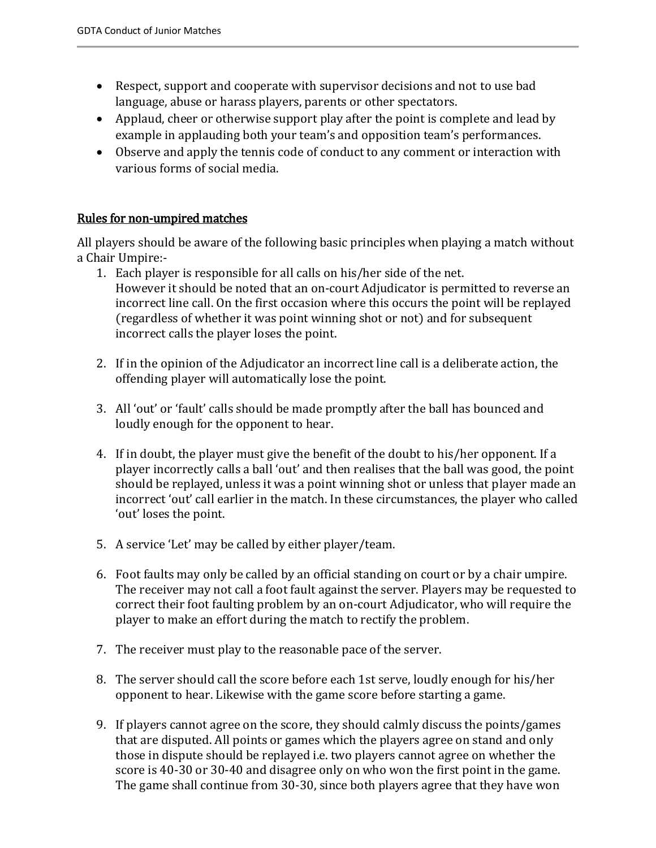- Respect, support and cooperate with supervisor decisions and not to use bad language, abuse or harass players, parents or other spectators.
- Applaud, cheer or otherwise support play after the point is complete and lead by example in applauding both your team's and opposition team's performances.
- Observe and apply the tennis code of conduct to any comment or interaction with various forms of social media.

## Rules for non-umpired matches

All players should be aware of the following basic principles when playing a match without a Chair Umpire:-

- 1. Each player is responsible for all calls on his/her side of the net. However it should be noted that an on-court Adjudicator is permitted to reverse an incorrect line call. On the first occasion where this occurs the point will be replayed (regardless of whether it was point winning shot or not) and for subsequent incorrect calls the player loses the point.
- 2. If in the opinion of the Adjudicator an incorrect line call is a deliberate action, the offending player will automatically lose the point.
- 3. All 'out' or 'fault' calls should be made promptly after the ball has bounced and loudly enough for the opponent to hear.
- 4. If in doubt, the player must give the benefit of the doubt to his/her opponent. If a player incorrectly calls a ball 'out' and then realises that the ball was good, the point should be replayed, unless it was a point winning shot or unless that player made an incorrect 'out' call earlier in the match. In these circumstances, the player who called 'out' loses the point.
- 5. A service 'Let' may be called by either player/team.
- 6. Foot faults may only be called by an official standing on court or by a chair umpire. The receiver may not call a foot fault against the server. Players may be requested to correct their foot faulting problem by an on-court Adjudicator, who will require the player to make an effort during the match to rectify the problem.
- 7. The receiver must play to the reasonable pace of the server.
- 8. The server should call the score before each 1st serve, loudly enough for his/her opponent to hear. Likewise with the game score before starting a game.
- 9. If players cannot agree on the score, they should calmly discuss the points/games that are disputed. All points or games which the players agree on stand and only those in dispute should be replayed i.e. two players cannot agree on whether the score is 40-30 or 30-40 and disagree only on who won the first point in the game. The game shall continue from 30-30, since both players agree that they have won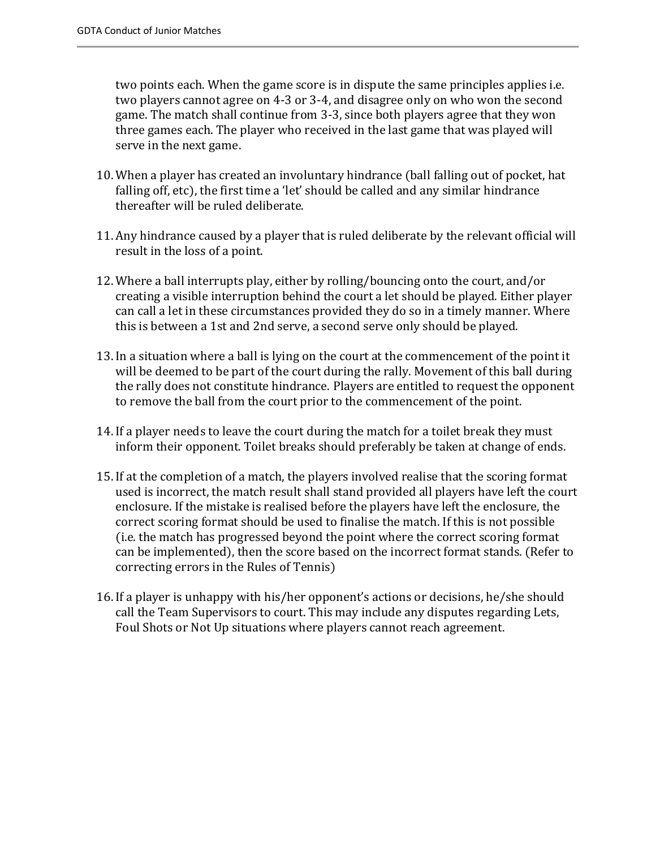two points each. When the game score is in dispute the same principles applies i.e. two players cannot agree on 4-3 or 3-4, and disagree only on who won the second game. The match shall continue from 3-3, since both players agree that they won three games each. The player who received in the last game that was played will serve in the next game.

- 10. When a player has created an involuntary hindrance (ball falling out of pocket, hat falling off, etc), the first time a 'let' should be called and any similar hindrance thereafter will be ruled deliberate.
- 11. Any hindrance caused by a player that is ruled deliberate by the relevant official will result in the loss of a point.
- 12. Where a ball interrupts play, either by rolling/bouncing onto the court, and/or creating a visible interruption behind the court a let should be played. Either player can call a let in these circumstances provided they do so in a timely manner. Where this is between a 1st and 2nd serve, a second serve only should be played.
- 13. In a situation where a ball is lying on the court at the commencement of the point it will be deemed to be part of the court during the rally. Movement of this ball during the rally does not constitute hindrance. Players are entitled to request the opponent to remove the ball from the court prior to the commencement of the point.
- 14. If a player needs to leave the court during the match for a toilet break they must inform their opponent. Toilet breaks should preferably be taken at change of ends.
- 15. If at the completion of a match, the players involved realise that the scoring format used is incorrect, the match result shall stand provided all players have left the court enclosure. If the mistake is realised before the players have left the enclosure, the correct scoring format should be used to finalise the match. If this is not possible (i.e. the match has progressed beyond the point where the correct scoring format can be implemented), then the score based on the incorrect format stands. (Refer to correcting errors in the Rules of Tennis)
- 16. If a player is unhappy with his/her opponent's actions or decisions, he/she should call the Team Supervisors to court. This may include any disputes regarding Lets, Foul Shots or Not Up situations where players cannot reach agreement.